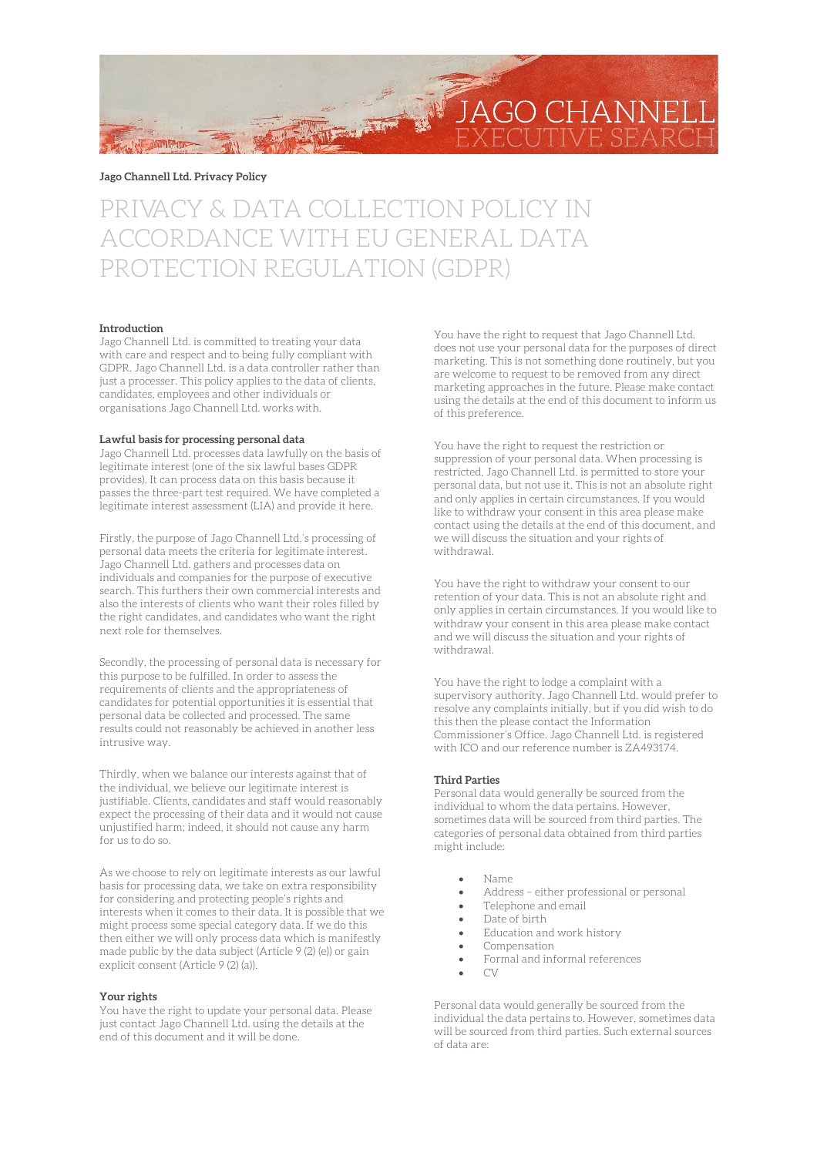

**Jago Channell Ltd. Privacy Policy**

# PRIVACY & DATA COLLECTION POLICY IN ACCORDANCE WITH EU GENERAL DATA PROTECTION REGULATION (GDPR)

## **Introduction**

Jago Channell Ltd. is committed to treating your data with care and respect and to being fully compliant with GDPR. Jago Channell Ltd. is a data controller rather than just a processer. This policy applies to the data of clients, candidates, employees and other individuals or organisations Jago Channell Ltd. works with.

#### **Lawful basis for processing personal data**

Jago Channell Ltd. processes data lawfully on the basis of legitimate interest (one of the six lawful bases GDPR provides). It can process data on this basis because it passes the three-part test required. We have completed a legitimate interest assessment (LIA) and provide it here.

Firstly, the purpose of Jago Channell Ltd.'s processing of personal data meets the criteria for legitimate interest. Jago Channell Ltd. gathers and processes data on individuals and companies for the purpose of executive search. This furthers their own commercial interests and also the interests of clients who want their roles filled by the right candidates, and candidates who want the right next role for themselves.

Secondly, the processing of personal data is necessary for this purpose to be fulfilled. In order to assess the requirements of clients and the appropriateness of candidates for potential opportunities it is essential that personal data be collected and processed. The same results could not reasonably be achieved in another less intrusive way.

Thirdly, when we balance our interests against that of the individual, we believe our legitimate interest is justifiable. Clients, candidates and staff would reasonably expect the processing of their data and it would not cause unjustified harm; indeed, it should not cause any harm for us to do so.

As we choose to rely on legitimate interests as our lawful basis for processing data, we take on extra responsibility for considering and protecting people's rights and interests when it comes to their data. It is possible that we might process some special category data. If we do this then either we will only process data which is manifestly made public by the data subject (Article 9 (2) (e)) or gain explicit consent (Article 9 (2) (a)).

#### **Your rights**

You have the right to update your personal data. Please just contact Jago Channell Ltd. using the details at the end of this document and it will be done.

You have the right to request that Jago Channell Ltd. does not use your personal data for the purposes of direct marketing. This is not something done routinely, but you are welcome to request to be removed from any direct marketing approaches in the future. Please make contact using the details at the end of this document to inform us of this preference.

You have the right to request the restriction or suppression of your personal data. When processing is restricted, Jago Channell Ltd. is permitted to store your personal data, but not use it. This is not an absolute right and only applies in certain circumstances. If you would like to withdraw your consent in this area please make contact using the details at the end of this document, and we will discuss the situation and your rights of withdrawal.

You have the right to withdraw your consent to our retention of your data. This is not an absolute right and only applies in certain circumstances. If you would like to withdraw your consent in this area please make contact and we will discuss the situation and your rights of withdrawal.

You have the right to lodge a complaint with a supervisory authority. Jago Channell Ltd. would prefer to resolve any complaints initially, but if you did wish to do this then the please contact the Information Commissioner's Office. Jago Channell Ltd. is registered with ICO and our reference number is ZA493174.

#### **Third Parties**

Personal data would generally be sourced from the individual to whom the data pertains. However, sometimes data will be sourced from third parties. The categories of personal data obtained from third parties might include:

- Name
- Address either professional or personal
- Telephone and email
- Date of birth
- Education and work history
- Compensation
- Formal and informal references
- $\bigcap$

Personal data would generally be sourced from the individual the data pertains to. However, sometimes data will be sourced from third parties. Such external sources of data are: